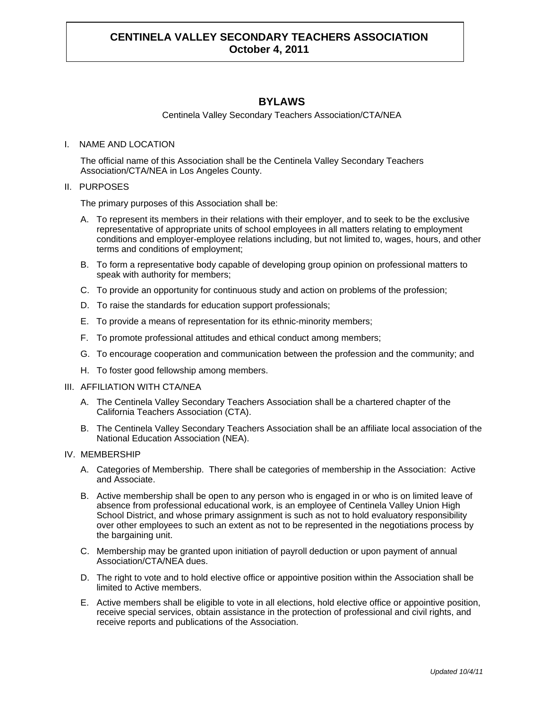## **BYLAWS**

Centinela Valley Secondary Teachers Association/CTA/NEA

### I. NAME AND LOCATION

The official name of this Association shall be the Centinela Valley Secondary Teachers Association/CTA/NEA in Los Angeles County.

## II. PURPOSES

The primary purposes of this Association shall be:

- A. To represent its members in their relations with their employer, and to seek to be the exclusive representative of appropriate units of school employees in all matters relating to employment conditions and employer-employee relations including, but not limited to, wages, hours, and other terms and conditions of employment;
- B. To form a representative body capable of developing group opinion on professional matters to speak with authority for members;
- C. To provide an opportunity for continuous study and action on problems of the profession;
- D. To raise the standards for education support professionals;
- E. To provide a means of representation for its ethnic-minority members;
- F. To promote professional attitudes and ethical conduct among members;
- G. To encourage cooperation and communication between the profession and the community; and
- H. To foster good fellowship among members.

### III. AFFILIATION WITH CTA/NEA

- A. The Centinela Valley Secondary Teachers Association shall be a chartered chapter of the California Teachers Association (CTA).
- B. The Centinela Valley Secondary Teachers Association shall be an affiliate local association of the National Education Association (NEA).

### IV. MEMBERSHIP

- A. Categories of Membership. There shall be categories of membership in the Association: Active and Associate.
- B. Active membership shall be open to any person who is engaged in or who is on limited leave of absence from professional educational work, is an employee of Centinela Valley Union High School District, and whose primary assignment is such as not to hold evaluatory responsibility over other employees to such an extent as not to be represented in the negotiations process by the bargaining unit.
- C. Membership may be granted upon initiation of payroll deduction or upon payment of annual Association/CTA/NEA dues.
- D. The right to vote and to hold elective office or appointive position within the Association shall be limited to Active members.
- E. Active members shall be eligible to vote in all elections, hold elective office or appointive position, receive special services, obtain assistance in the protection of professional and civil rights, and receive reports and publications of the Association.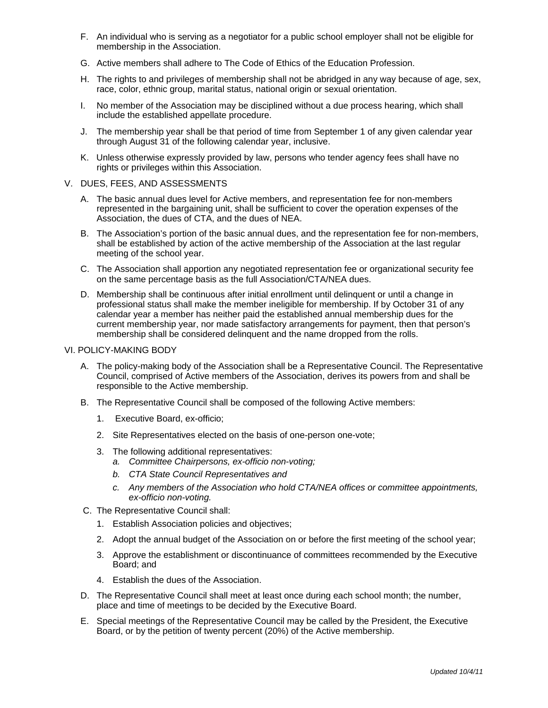- F. An individual who is serving as a negotiator for a public school employer shall not be eligible for membership in the Association.
- G. Active members shall adhere to The Code of Ethics of the Education Profession.
- H. The rights to and privileges of membership shall not be abridged in any way because of age, sex, race, color, ethnic group, marital status, national origin or sexual orientation.
- I. No member of the Association may be disciplined without a due process hearing, which shall include the established appellate procedure.
- J. The membership year shall be that period of time from September 1 of any given calendar year through August 31 of the following calendar year, inclusive.
- K. Unless otherwise expressly provided by law, persons who tender agency fees shall have no rights or privileges within this Association.
- V. DUES, FEES, AND ASSESSMENTS
	- A. The basic annual dues level for Active members, and representation fee for non-members represented in the bargaining unit, shall be sufficient to cover the operation expenses of the Association, the dues of CTA, and the dues of NEA.
	- B. The Association's portion of the basic annual dues, and the representation fee for non-members, shall be established by action of the active membership of the Association at the last regular meeting of the school year.
	- C. The Association shall apportion any negotiated representation fee or organizational security fee on the same percentage basis as the full Association/CTA/NEA dues.
	- D. Membership shall be continuous after initial enrollment until delinquent or until a change in professional status shall make the member ineligible for membership. If by October 31 of any calendar year a member has neither paid the established annual membership dues for the current membership year, nor made satisfactory arrangements for payment, then that person's membership shall be considered delinquent and the name dropped from the rolls.

### VI. POLICY-MAKING BODY

- A. The policy-making body of the Association shall be a Representative Council. The Representative Council, comprised of Active members of the Association, derives its powers from and shall be responsible to the Active membership.
- B. The Representative Council shall be composed of the following Active members:
	- 1. Executive Board, ex-officio;
	- 2. Site Representatives elected on the basis of one-person one-vote;
	- 3. The following additional representatives:
		- *a. Committee Chairpersons, ex-officio non-voting;*
		- *b. CTA State Council Representatives and*
		- *c. Any members of the Association who hold CTA/NEA offices or committee appointments, ex-officio non-voting.*
- C. The Representative Council shall:
	- 1. Establish Association policies and objectives;
	- 2. Adopt the annual budget of the Association on or before the first meeting of the school year;
	- 3. Approve the establishment or discontinuance of committees recommended by the Executive Board; and
	- 4. Establish the dues of the Association.
- D. The Representative Council shall meet at least once during each school month; the number, place and time of meetings to be decided by the Executive Board.
- E. Special meetings of the Representative Council may be called by the President, the Executive Board, or by the petition of twenty percent (20%) of the Active membership.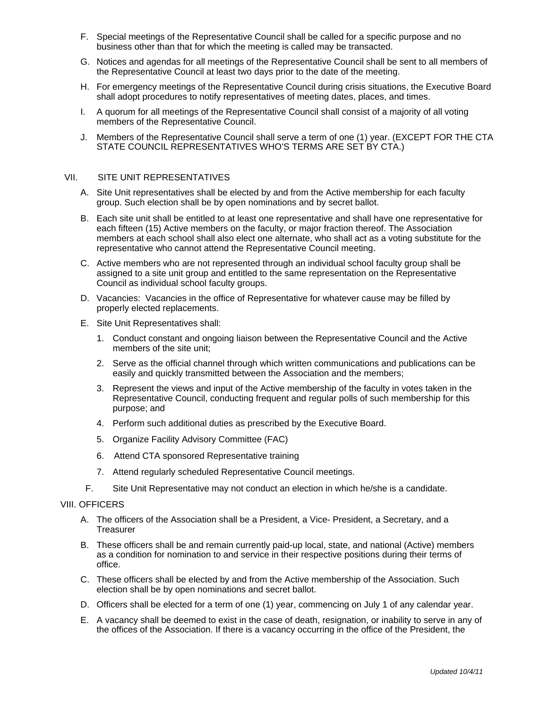- F. Special meetings of the Representative Council shall be called for a specific purpose and no business other than that for which the meeting is called may be transacted.
- G. Notices and agendas for all meetings of the Representative Council shall be sent to all members of the Representative Council at least two days prior to the date of the meeting.
- H. For emergency meetings of the Representative Council during crisis situations, the Executive Board shall adopt procedures to notify representatives of meeting dates, places, and times.
- I. A quorum for all meetings of the Representative Council shall consist of a majority of all voting members of the Representative Council.
- J. Members of the Representative Council shall serve a term of one (1) year. (EXCEPT FOR THE CTA STATE COUNCIL REPRESENTATIVES WHO'S TERMS ARE SET BY CTA.)

#### VII. SITE UNIT REPRESENTATIVES

- A. Site Unit representatives shall be elected by and from the Active membership for each faculty group. Such election shall be by open nominations and by secret ballot.
- B. Each site unit shall be entitled to at least one representative and shall have one representative for each fifteen (15) Active members on the faculty, or major fraction thereof. The Association members at each school shall also elect one alternate, who shall act as a voting substitute for the representative who cannot attend the Representative Council meeting.
- C. Active members who are not represented through an individual school faculty group shall be assigned to a site unit group and entitled to the same representation on the Representative Council as individual school faculty groups.
- D. Vacancies: Vacancies in the office of Representative for whatever cause may be filled by properly elected replacements.
- E. Site Unit Representatives shall:
	- 1. Conduct constant and ongoing liaison between the Representative Council and the Active members of the site unit;
	- 2. Serve as the official channel through which written communications and publications can be easily and quickly transmitted between the Association and the members;
	- 3. Represent the views and input of the Active membership of the faculty in votes taken in the Representative Council, conducting frequent and regular polls of such membership for this purpose; and
	- 4. Perform such additional duties as prescribed by the Executive Board.
	- 5. Organize Facility Advisory Committee (FAC)
	- 6. Attend CTA sponsored Representative training
	- 7. Attend regularly scheduled Representative Council meetings.
- F. Site Unit Representative may not conduct an election in which he/she is a candidate.

### **VIII. OFFICERS**

- A. The officers of the Association shall be a President, a Vice- President, a Secretary, and a **Treasurer**
- B. These officers shall be and remain currently paid-up local, state, and national (Active) members as a condition for nomination to and service in their respective positions during their terms of office.
- C. These officers shall be elected by and from the Active membership of the Association. Such election shall be by open nominations and secret ballot.
- D. Officers shall be elected for a term of one (1) year, commencing on July 1 of any calendar year.
- E. A vacancy shall be deemed to exist in the case of death, resignation, or inability to serve in any of the offices of the Association. If there is a vacancy occurring in the office of the President, the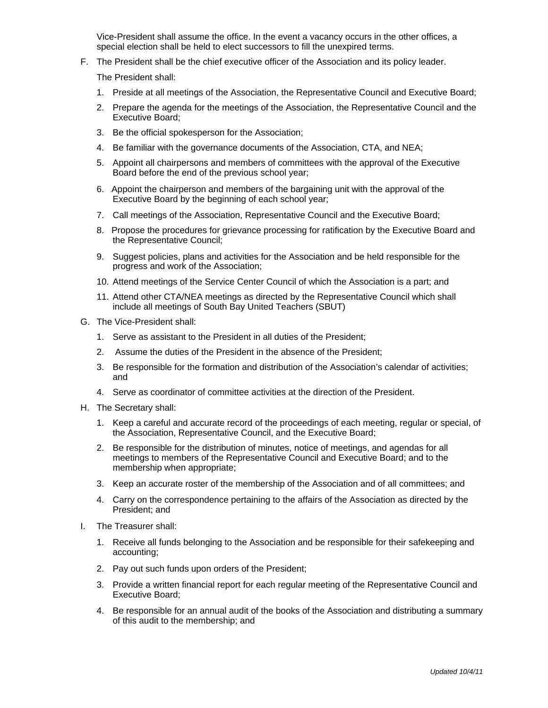Vice-President shall assume the office. In the event a vacancy occurs in the other offices, a special election shall be held to elect successors to fill the unexpired terms.

F. The President shall be the chief executive officer of the Association and its policy leader.

The President shall:

- 1. Preside at all meetings of the Association, the Representative Council and Executive Board;
- 2. Prepare the agenda for the meetings of the Association, the Representative Council and the Executive Board;
- 3. Be the official spokesperson for the Association;
- 4. Be familiar with the governance documents of the Association, CTA, and NEA;
- 5. Appoint all chairpersons and members of committees with the approval of the Executive Board before the end of the previous school year;
- 6. Appoint the chairperson and members of the bargaining unit with the approval of the Executive Board by the beginning of each school year;
- 7. Call meetings of the Association, Representative Council and the Executive Board;
- 8. Propose the procedures for grievance processing for ratification by the Executive Board and the Representative Council;
- 9. Suggest policies, plans and activities for the Association and be held responsible for the progress and work of the Association;
- 10. Attend meetings of the Service Center Council of which the Association is a part; and
- 11. Attend other CTA/NEA meetings as directed by the Representative Council which shall include all meetings of South Bay United Teachers (SBUT)
- G. The Vice-President shall:
	- 1. Serve as assistant to the President in all duties of the President;
	- 2. Assume the duties of the President in the absence of the President;
	- 3. Be responsible for the formation and distribution of the Association's calendar of activities; and
	- 4. Serve as coordinator of committee activities at the direction of the President.
- H. The Secretary shall:
	- 1. Keep a careful and accurate record of the proceedings of each meeting, regular or special, of the Association, Representative Council, and the Executive Board;
	- 2. Be responsible for the distribution of minutes, notice of meetings, and agendas for all meetings to members of the Representative Council and Executive Board; and to the membership when appropriate;
	- 3. Keep an accurate roster of the membership of the Association and of all committees; and
	- 4. Carry on the correspondence pertaining to the affairs of the Association as directed by the President; and
- I. The Treasurer shall:
	- 1. Receive all funds belonging to the Association and be responsible for their safekeeping and accounting;
	- 2. Pay out such funds upon orders of the President;
	- 3. Provide a written financial report for each regular meeting of the Representative Council and Executive Board;
	- 4. Be responsible for an annual audit of the books of the Association and distributing a summary of this audit to the membership; and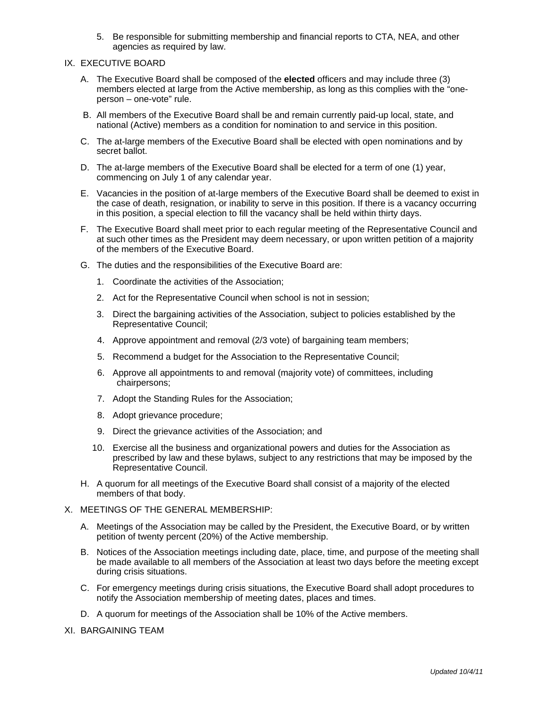5. Be responsible for submitting membership and financial reports to CTA, NEA, and other agencies as required by law.

#### IX. EXECUTIVE BOARD

- A. The Executive Board shall be composed of the **elected** officers and may include three (3) members elected at large from the Active membership, as long as this complies with the "oneperson – one-vote" rule.
- B. All members of the Executive Board shall be and remain currently paid-up local, state, and national (Active) members as a condition for nomination to and service in this position.
- C. The at-large members of the Executive Board shall be elected with open nominations and by secret ballot.
- D. The at-large members of the Executive Board shall be elected for a term of one (1) year, commencing on July 1 of any calendar year.
- E. Vacancies in the position of at-large members of the Executive Board shall be deemed to exist in the case of death, resignation, or inability to serve in this position. If there is a vacancy occurring in this position, a special election to fill the vacancy shall be held within thirty days.
- F. The Executive Board shall meet prior to each regular meeting of the Representative Council and at such other times as the President may deem necessary, or upon written petition of a majority of the members of the Executive Board.
- G. The duties and the responsibilities of the Executive Board are:
	- 1. Coordinate the activities of the Association;
	- 2. Act for the Representative Council when school is not in session;
	- 3. Direct the bargaining activities of the Association, subject to policies established by the Representative Council;
	- 4. Approve appointment and removal (2/3 vote) of bargaining team members;
	- 5. Recommend a budget for the Association to the Representative Council;
	- 6. Approve all appointments to and removal (majority vote) of committees, including chairpersons;
	- 7. Adopt the Standing Rules for the Association;
	- 8. Adopt grievance procedure;
	- 9. Direct the grievance activities of the Association; and
	- 10. Exercise all the business and organizational powers and duties for the Association as prescribed by law and these bylaws, subject to any restrictions that may be imposed by the Representative Council.
- H. A quorum for all meetings of the Executive Board shall consist of a majority of the elected members of that body.

#### X. MEETINGS OF THE GENERAL MEMBERSHIP:

- A. Meetings of the Association may be called by the President, the Executive Board, or by written petition of twenty percent (20%) of the Active membership.
- B. Notices of the Association meetings including date, place, time, and purpose of the meeting shall be made available to all members of the Association at least two days before the meeting except during crisis situations.
- C. For emergency meetings during crisis situations, the Executive Board shall adopt procedures to notify the Association membership of meeting dates, places and times.
- D. A quorum for meetings of the Association shall be 10% of the Active members.
- XI. BARGAINING TEAM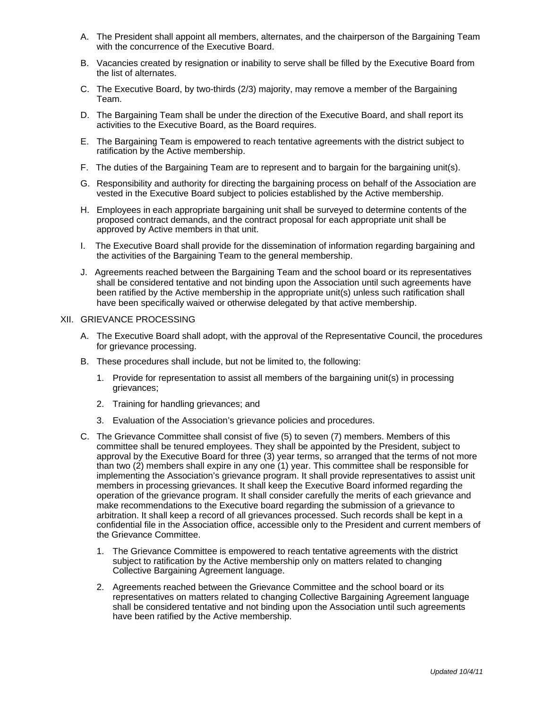- A. The President shall appoint all members, alternates, and the chairperson of the Bargaining Team with the concurrence of the Executive Board.
- B. Vacancies created by resignation or inability to serve shall be filled by the Executive Board from the list of alternates.
- C. The Executive Board, by two-thirds (2/3) majority, may remove a member of the Bargaining Team.
- D. The Bargaining Team shall be under the direction of the Executive Board, and shall report its activities to the Executive Board, as the Board requires.
- E. The Bargaining Team is empowered to reach tentative agreements with the district subject to ratification by the Active membership.
- F. The duties of the Bargaining Team are to represent and to bargain for the bargaining unit(s).
- G. Responsibility and authority for directing the bargaining process on behalf of the Association are vested in the Executive Board subject to policies established by the Active membership.
- H. Employees in each appropriate bargaining unit shall be surveyed to determine contents of the proposed contract demands, and the contract proposal for each appropriate unit shall be approved by Active members in that unit.
- I. The Executive Board shall provide for the dissemination of information regarding bargaining and the activities of the Bargaining Team to the general membership.
- J. Agreements reached between the Bargaining Team and the school board or its representatives shall be considered tentative and not binding upon the Association until such agreements have been ratified by the Active membership in the appropriate unit(s) unless such ratification shall have been specifically waived or otherwise delegated by that active membership.

### XII. GRIEVANCE PROCESSING

- A. The Executive Board shall adopt, with the approval of the Representative Council, the procedures for grievance processing.
- B. These procedures shall include, but not be limited to, the following:
	- 1. Provide for representation to assist all members of the bargaining unit(s) in processing grievances;
	- 2. Training for handling grievances; and
	- 3. Evaluation of the Association's grievance policies and procedures.
- C. The Grievance Committee shall consist of five (5) to seven (7) members. Members of this committee shall be tenured employees. They shall be appointed by the President, subject to approval by the Executive Board for three (3) year terms, so arranged that the terms of not more than two (2) members shall expire in any one (1) year. This committee shall be responsible for implementing the Association's grievance program. It shall provide representatives to assist unit members in processing grievances. It shall keep the Executive Board informed regarding the operation of the grievance program. It shall consider carefully the merits of each grievance and make recommendations to the Executive board regarding the submission of a grievance to arbitration. It shall keep a record of all grievances processed. Such records shall be kept in a confidential file in the Association office, accessible only to the President and current members of the Grievance Committee.
	- 1. The Grievance Committee is empowered to reach tentative agreements with the district subject to ratification by the Active membership only on matters related to changing Collective Bargaining Agreement language.
	- 2. Agreements reached between the Grievance Committee and the school board or its representatives on matters related to changing Collective Bargaining Agreement language shall be considered tentative and not binding upon the Association until such agreements have been ratified by the Active membership.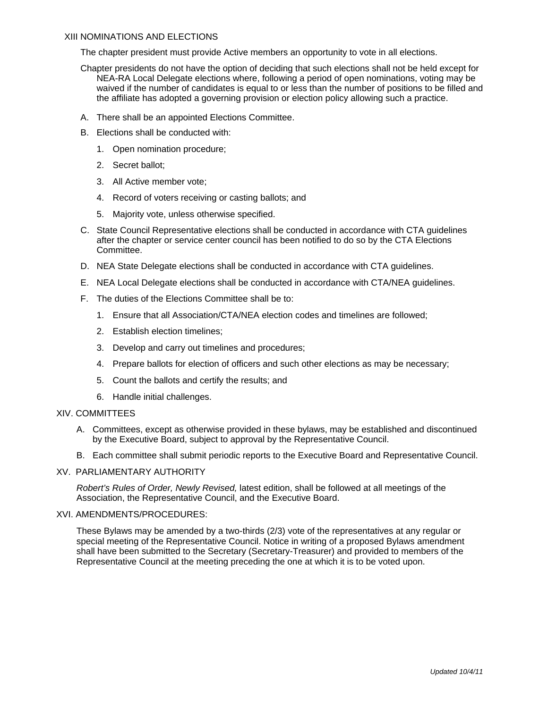#### XIII NOMINATIONS AND ELECTIONS

The chapter president must provide Active members an opportunity to vote in all elections.

- Chapter presidents do not have the option of deciding that such elections shall not be held except for NEA-RA Local Delegate elections where, following a period of open nominations, voting may be waived if the number of candidates is equal to or less than the number of positions to be filled and the affiliate has adopted a governing provision or election policy allowing such a practice.
- A. There shall be an appointed Elections Committee.
- B. Elections shall be conducted with:
	- 1. Open nomination procedure;
	- 2. Secret ballot;
	- 3. All Active member vote;
	- 4. Record of voters receiving or casting ballots; and
	- 5. Majority vote, unless otherwise specified.
- C. State Council Representative elections shall be conducted in accordance with CTA guidelines after the chapter or service center council has been notified to do so by the CTA Elections Committee.
- D. NEA State Delegate elections shall be conducted in accordance with CTA guidelines.
- E. NEA Local Delegate elections shall be conducted in accordance with CTA/NEA guidelines.
- F. The duties of the Elections Committee shall be to:
	- 1. Ensure that all Association/CTA/NEA election codes and timelines are followed;
	- 2. Establish election timelines;
	- 3. Develop and carry out timelines and procedures;
	- 4. Prepare ballots for election of officers and such other elections as may be necessary;
	- 5. Count the ballots and certify the results; and
	- 6. Handle initial challenges.

#### XIV. COMMITTEES

- A. Committees, except as otherwise provided in these bylaws, may be established and discontinued by the Executive Board, subject to approval by the Representative Council.
- B. Each committee shall submit periodic reports to the Executive Board and Representative Council.

### XV. PARLIAMENTARY AUTHORITY

*Robert's Rules of Order, Newly Revised,* latest edition, shall be followed at all meetings of the Association, the Representative Council, and the Executive Board.

#### XVI. AMENDMENTS/PROCEDURES:

These Bylaws may be amended by a two-thirds (2/3) vote of the representatives at any regular or special meeting of the Representative Council. Notice in writing of a proposed Bylaws amendment shall have been submitted to the Secretary (Secretary-Treasurer) and provided to members of the Representative Council at the meeting preceding the one at which it is to be voted upon.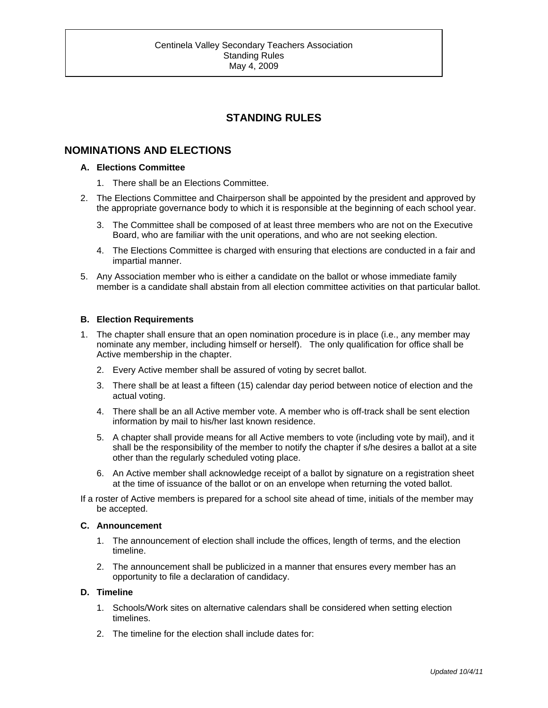# **STANDING RULES**

## **NOMINATIONS AND ELECTIONS**

#### **A. Elections Committee**

- 1. There shall be an Elections Committee.
- 2. The Elections Committee and Chairperson shall be appointed by the president and approved by the appropriate governance body to which it is responsible at the beginning of each school year.
	- 3. The Committee shall be composed of at least three members who are not on the Executive Board, who are familiar with the unit operations, and who are not seeking election.
	- 4. The Elections Committee is charged with ensuring that elections are conducted in a fair and impartial manner.
- 5. Any Association member who is either a candidate on the ballot or whose immediate family member is a candidate shall abstain from all election committee activities on that particular ballot.

### **B. Election Requirements**

- 1. The chapter shall ensure that an open nomination procedure is in place (i.e., any member may nominate any member, including himself or herself). The only qualification for office shall be Active membership in the chapter.
	- 2. Every Active member shall be assured of voting by secret ballot.
	- 3. There shall be at least a fifteen (15) calendar day period between notice of election and the actual voting.
	- 4. There shall be an all Active member vote. A member who is off-track shall be sent election information by mail to his/her last known residence.
	- 5. A chapter shall provide means for all Active members to vote (including vote by mail), and it shall be the responsibility of the member to notify the chapter if s/he desires a ballot at a site other than the regularly scheduled voting place.
	- 6. An Active member shall acknowledge receipt of a ballot by signature on a registration sheet at the time of issuance of the ballot or on an envelope when returning the voted ballot.

If a roster of Active members is prepared for a school site ahead of time, initials of the member may be accepted.

#### **C. Announcement**

- 1. The announcement of election shall include the offices, length of terms, and the election timeline.
- 2. The announcement shall be publicized in a manner that ensures every member has an opportunity to file a declaration of candidacy.

#### **D. Timeline**

- 1. Schools/Work sites on alternative calendars shall be considered when setting election timelines.
- 2. The timeline for the election shall include dates for: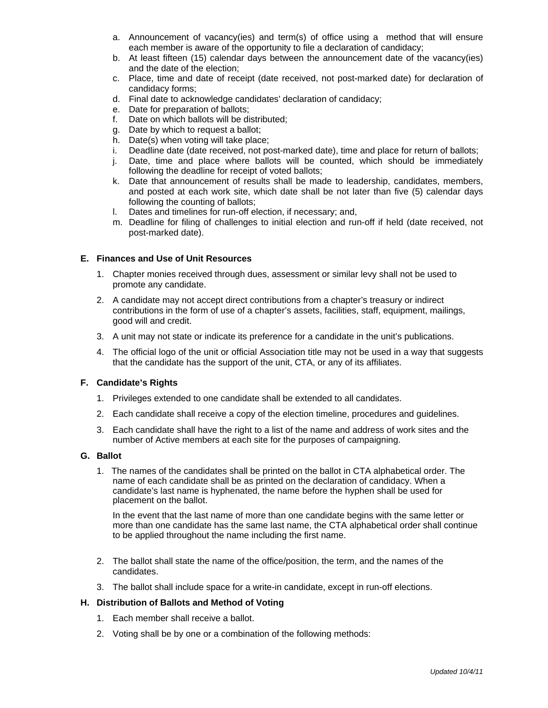- a. Announcement of vacancy(ies) and term(s) of office using a method that will ensure each member is aware of the opportunity to file a declaration of candidacy;
- b. At least fifteen (15) calendar days between the announcement date of the vacancy(ies) and the date of the election;
- c. Place, time and date of receipt (date received, not post-marked date) for declaration of candidacy forms;
- d. Final date to acknowledge candidates' declaration of candidacy;
- e. Date for preparation of ballots;
- f. Date on which ballots will be distributed;
- g. Date by which to request a ballot;
- h. Date(s) when voting will take place;
- i. Deadline date (date received, not post-marked date), time and place for return of ballots;
- j. Date, time and place where ballots will be counted, which should be immediately following the deadline for receipt of voted ballots;
- k. Date that announcement of results shall be made to leadership, candidates, members, and posted at each work site, which date shall be not later than five (5) calendar days following the counting of ballots;
- l. Dates and timelines for run-off election, if necessary; and,
- m. Deadline for filing of challenges to initial election and run-off if held (date received, not post-marked date).

## **E. Finances and Use of Unit Resources**

- 1. Chapter monies received through dues, assessment or similar levy shall not be used to promote any candidate.
- 2. A candidate may not accept direct contributions from a chapter's treasury or indirect contributions in the form of use of a chapter's assets, facilities, staff, equipment, mailings, good will and credit.
- 3. A unit may not state or indicate its preference for a candidate in the unit's publications.
- 4. The official logo of the unit or official Association title may not be used in a way that suggests that the candidate has the support of the unit, CTA, or any of its affiliates.

### **F. Candidate's Rights**

- 1. Privileges extended to one candidate shall be extended to all candidates.
- 2. Each candidate shall receive a copy of the election timeline, procedures and guidelines.
- 3. Each candidate shall have the right to a list of the name and address of work sites and the number of Active members at each site for the purposes of campaigning.

### **G. Ballot**

1. The names of the candidates shall be printed on the ballot in CTA alphabetical order. The name of each candidate shall be as printed on the declaration of candidacy. When a candidate's last name is hyphenated, the name before the hyphen shall be used for placement on the ballot.

In the event that the last name of more than one candidate begins with the same letter or more than one candidate has the same last name, the CTA alphabetical order shall continue to be applied throughout the name including the first name.

- 2. The ballot shall state the name of the office/position, the term, and the names of the candidates.
- 3. The ballot shall include space for a write-in candidate, except in run-off elections.

### **H. Distribution of Ballots and Method of Voting**

- 1. Each member shall receive a ballot.
- 2. Voting shall be by one or a combination of the following methods: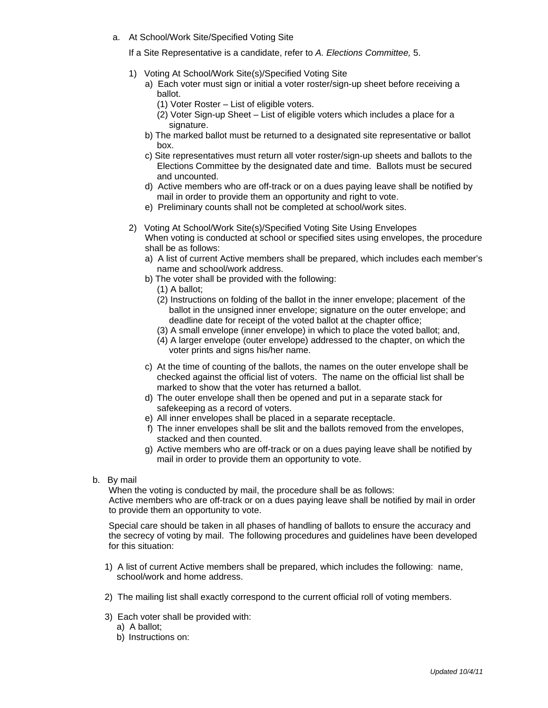a. At School/Work Site/Specified Voting Site

If a Site Representative is a candidate, refer to *A. Elections Committee,* 5.

- 1) Voting At School/Work Site(s)/Specified Voting Site
	- a) Each voter must sign or initial a voter roster/sign-up sheet before receiving a ballot.
		- (1) Voter Roster List of eligible voters.
		- (2) Voter Sign-up Sheet List of eligible voters which includes a place for a signature.
	- b) The marked ballot must be returned to a designated site representative or ballot box.
	- c) Site representatives must return all voter roster/sign-up sheets and ballots to the Elections Committee by the designated date and time. Ballots must be secured and uncounted.
	- d) Active members who are off-track or on a dues paying leave shall be notified by mail in order to provide them an opportunity and right to vote.
	- e) Preliminary counts shall not be completed at school/work sites.
- 2) Voting At School/Work Site(s)/Specified Voting Site Using Envelopes When voting is conducted at school or specified sites using envelopes, the procedure shall be as follows:
	- a) A list of current Active members shall be prepared, which includes each member's name and school/work address.
	- b) The voter shall be provided with the following:
		- (1) A ballot;
		- (2) Instructions on folding of the ballot in the inner envelope; placement of the ballot in the unsigned inner envelope; signature on the outer envelope; and deadline date for receipt of the voted ballot at the chapter office;
		- (3) A small envelope (inner envelope) in which to place the voted ballot; and,
		- (4) A larger envelope (outer envelope) addressed to the chapter, on which the voter prints and signs his/her name.
	- c) At the time of counting of the ballots, the names on the outer envelope shall be checked against the official list of voters. The name on the official list shall be marked to show that the voter has returned a ballot.
	- d) The outer envelope shall then be opened and put in a separate stack for safekeeping as a record of voters.
	- e) All inner envelopes shall be placed in a separate receptacle.
	- f) The inner envelopes shall be slit and the ballots removed from the envelopes, stacked and then counted.
	- g) Active members who are off-track or on a dues paying leave shall be notified by mail in order to provide them an opportunity to vote.
- b. By mail

When the voting is conducted by mail, the procedure shall be as follows: Active members who are off-track or on a dues paying leave shall be notified by mail in order to provide them an opportunity to vote.

Special care should be taken in all phases of handling of ballots to ensure the accuracy and the secrecy of voting by mail. The following procedures and guidelines have been developed for this situation:

- 1) A list of current Active members shall be prepared, which includes the following: name, school/work and home address.
- 2) The mailing list shall exactly correspond to the current official roll of voting members.
- 3) Each voter shall be provided with:
	- a) A ballot;
	- b) Instructions on: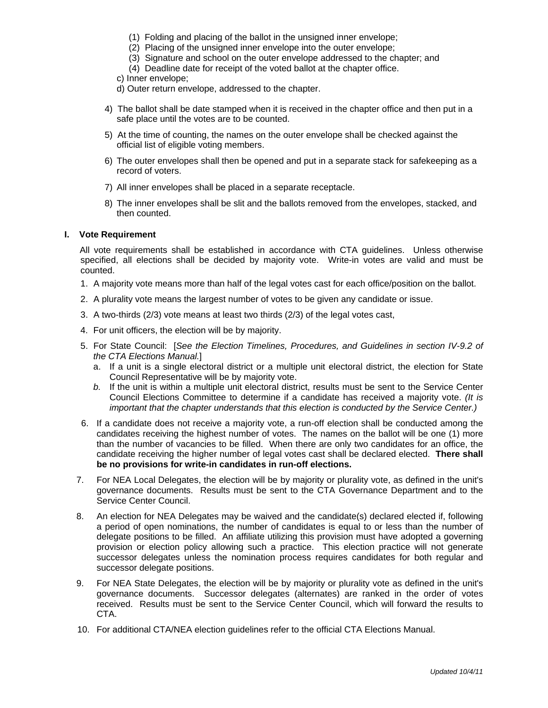- (1) Folding and placing of the ballot in the unsigned inner envelope;
- (2) Placing of the unsigned inner envelope into the outer envelope;
- (3) Signature and school on the outer envelope addressed to the chapter; and
- (4) Deadline date for receipt of the voted ballot at the chapter office.
- c) Inner envelope;
- d) Outer return envelope, addressed to the chapter.
- 4) The ballot shall be date stamped when it is received in the chapter office and then put in a safe place until the votes are to be counted.
- 5) At the time of counting, the names on the outer envelope shall be checked against the official list of eligible voting members.
- 6) The outer envelopes shall then be opened and put in a separate stack for safekeeping as a record of voters.
- 7) All inner envelopes shall be placed in a separate receptacle.
- 8) The inner envelopes shall be slit and the ballots removed from the envelopes, stacked, and then counted.

#### **I. Vote Requirement**

All vote requirements shall be established in accordance with CTA guidelines. Unless otherwise specified, all elections shall be decided by majority vote. Write-in votes are valid and must be counted.

- 1. A majority vote means more than half of the legal votes cast for each office/position on the ballot.
- 2. A plurality vote means the largest number of votes to be given any candidate or issue.
- 3. A two-thirds (2/3) vote means at least two thirds (2/3) of the legal votes cast,
- 4. For unit officers, the election will be by majority.
- 5. For State Council: [*See the Election Timelines, Procedures, and Guidelines in section IV-9.2 of the CTA Elections Manual.*]
	- a. If a unit is a single electoral district or a multiple unit electoral district, the election for State Council Representative will be by majority vote.
	- *b.* If the unit is within a multiple unit electoral district, results must be sent to the Service Center Council Elections Committee to determine if a candidate has received a majority vote. *(It is important that the chapter understands that this election is conducted by the Service Center.)*
- 6. If a candidate does not receive a majority vote, a run-off election shall be conducted among the candidates receiving the highest number of votes. The names on the ballot will be one (1) more than the number of vacancies to be filled. When there are only two candidates for an office, the candidate receiving the higher number of legal votes cast shall be declared elected. **There shall be no provisions for write-in candidates in run-off elections.**
- 7. For NEA Local Delegates, the election will be by majority or plurality vote, as defined in the unit's governance documents. Results must be sent to the CTA Governance Department and to the Service Center Council.
- 8. An election for NEA Delegates may be waived and the candidate(s) declared elected if, following a period of open nominations, the number of candidates is equal to or less than the number of delegate positions to be filled. An affiliate utilizing this provision must have adopted a governing provision or election policy allowing such a practice. This election practice will not generate successor delegates unless the nomination process requires candidates for both regular and successor delegate positions.
- 9. For NEA State Delegates, the election will be by majority or plurality vote as defined in the unit's governance documents. Successor delegates (alternates) are ranked in the order of votes received. Results must be sent to the Service Center Council, which will forward the results to CTA.
- 10. For additional CTA/NEA election guidelines refer to the official CTA Elections Manual.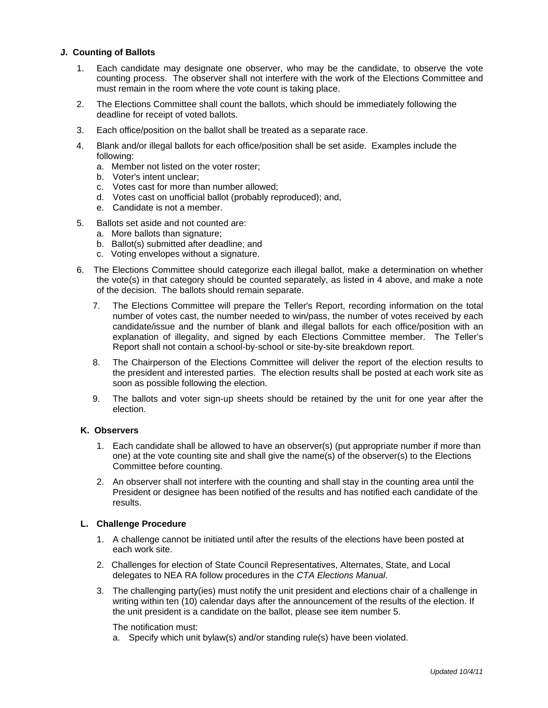### **J. Counting of Ballots**

- 1. Each candidate may designate one observer, who may be the candidate, to observe the vote counting process. The observer shall not interfere with the work of the Elections Committee and must remain in the room where the vote count is taking place.
- 2. The Elections Committee shall count the ballots, which should be immediately following the deadline for receipt of voted ballots.
- 3. Each office/position on the ballot shall be treated as a separate race.
- 4. Blank and/or illegal ballots for each office/position shall be set aside. Examples include the following:
	- a. Member not listed on the voter roster;
	- b. Voter's intent unclear;
	- c. Votes cast for more than number allowed;
	- d. Votes cast on unofficial ballot (probably reproduced); and,
	- e. Candidate is not a member.
- 5. Ballots set aside and not counted are:
	- a. More ballots than signature;
	- b. Ballot(s) submitted after deadline; and
	- c. Voting envelopes without a signature.
- 6. The Elections Committee should categorize each illegal ballot, make a determination on whether the vote(s) in that category should be counted separately, as listed in 4 above, and make a note of the decision. The ballots should remain separate.
	- 7. The Elections Committee will prepare the Teller's Report, recording information on the total number of votes cast, the number needed to win/pass, the number of votes received by each candidate/issue and the number of blank and illegal ballots for each office/position with an explanation of illegality, and signed by each Elections Committee member. The Teller's Report shall not contain a school-by-school or site-by-site breakdown report.
	- 8. The Chairperson of the Elections Committee will deliver the report of the election results to the president and interested parties. The election results shall be posted at each work site as soon as possible following the election.
	- 9. The ballots and voter sign-up sheets should be retained by the unit for one year after the election.

### **K. Observers**

- 1. Each candidate shall be allowed to have an observer(s) (put appropriate number if more than one) at the vote counting site and shall give the name(s) of the observer(s) to the Elections Committee before counting.
- 2. An observer shall not interfere with the counting and shall stay in the counting area until the President or designee has been notified of the results and has notified each candidate of the results.

### **L. Challenge Procedure**

- 1. A challenge cannot be initiated until after the results of the elections have been posted at each work site.
- 2. Challenges for election of State Council Representatives, Alternates, State, and Local delegates to NEA RA follow procedures in the *CTA Elections Manual*.
- 3. The challenging party(ies) must notify the unit president and elections chair of a challenge in writing within ten (10) calendar days after the announcement of the results of the election. If the unit president is a candidate on the ballot, please see item number 5.

The notification must:

a. Specify which unit bylaw(s) and/or standing rule(s) have been violated.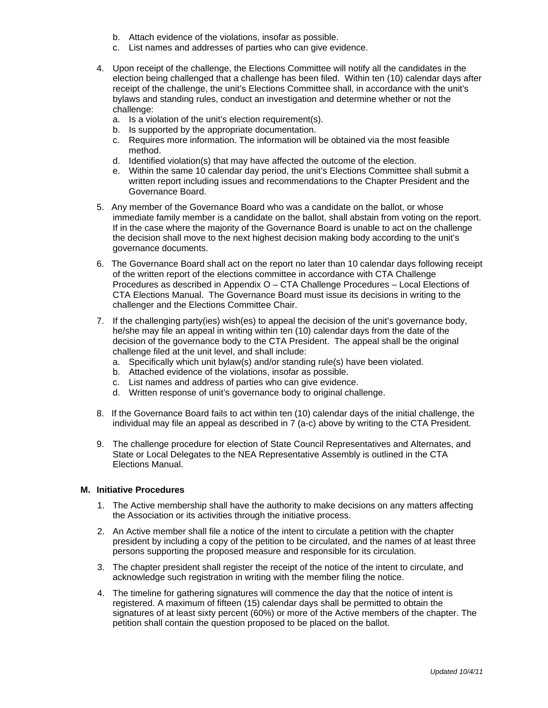- b. Attach evidence of the violations, insofar as possible.
- c. List names and addresses of parties who can give evidence.
- 4. Upon receipt of the challenge, the Elections Committee will notify all the candidates in the election being challenged that a challenge has been filed. Within ten (10) calendar days after receipt of the challenge, the unit's Elections Committee shall, in accordance with the unit's bylaws and standing rules, conduct an investigation and determine whether or not the challenge:
	- a. Is a violation of the unit's election requirement(s).
	- b. Is supported by the appropriate documentation.
	- c. Requires more information. The information will be obtained via the most feasible method.
	- d. Identified violation(s) that may have affected the outcome of the election.
	- e. Within the same 10 calendar day period, the unit's Elections Committee shall submit a written report including issues and recommendations to the Chapter President and the Governance Board.
- 5. Any member of the Governance Board who was a candidate on the ballot, or whose immediate family member is a candidate on the ballot, shall abstain from voting on the report. If in the case where the majority of the Governance Board is unable to act on the challenge the decision shall move to the next highest decision making body according to the unit's governance documents.
- 6. The Governance Board shall act on the report no later than 10 calendar days following receipt of the written report of the elections committee in accordance with CTA Challenge Procedures as described in Appendix O – CTA Challenge Procedures – Local Elections of CTA Elections Manual. The Governance Board must issue its decisions in writing to the challenger and the Elections Committee Chair.
- 7. If the challenging party(ies) wish(es) to appeal the decision of the unit's governance body, he/she may file an appeal in writing within ten (10) calendar days from the date of the decision of the governance body to the CTA President. The appeal shall be the original challenge filed at the unit level, and shall include:
	- a. Specifically which unit bylaw(s) and/or standing rule(s) have been violated.
	- b. Attached evidence of the violations, insofar as possible.
	- c. List names and address of parties who can give evidence.
	- d. Written response of unit's governance body to original challenge.
- 8. If the Governance Board fails to act within ten (10) calendar days of the initial challenge, the individual may file an appeal as described in 7 (a-c) above by writing to the CTA President.
- 9. The challenge procedure for election of State Council Representatives and Alternates, and State or Local Delegates to the NEA Representative Assembly is outlined in the CTA Elections Manual.

#### **M. Initiative Procedures**

- 1. The Active membership shall have the authority to make decisions on any matters affecting the Association or its activities through the initiative process.
- 2. An Active member shall file a notice of the intent to circulate a petition with the chapter president by including a copy of the petition to be circulated, and the names of at least three persons supporting the proposed measure and responsible for its circulation.
- 3. The chapter president shall register the receipt of the notice of the intent to circulate, and acknowledge such registration in writing with the member filing the notice.
- 4. The timeline for gathering signatures will commence the day that the notice of intent is registered. A maximum of fifteen (15) calendar days shall be permitted to obtain the signatures of at least sixty percent (60%) or more of the Active members of the chapter. The petition shall contain the question proposed to be placed on the ballot.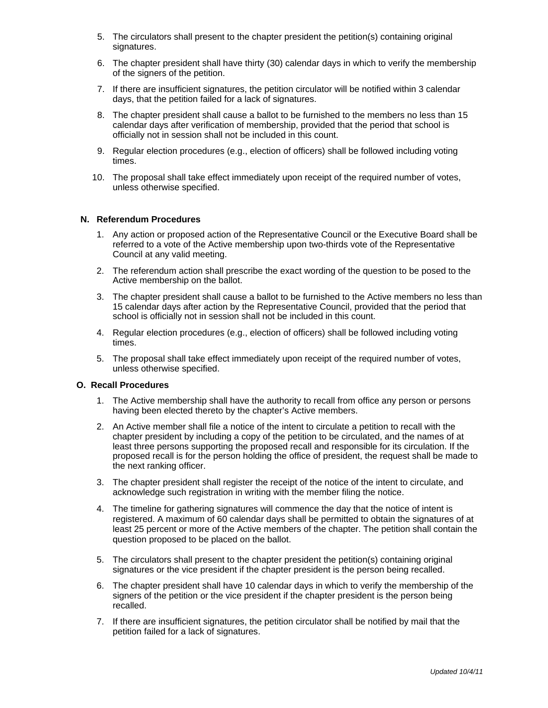- 5. The circulators shall present to the chapter president the petition(s) containing original signatures.
- 6. The chapter president shall have thirty (30) calendar days in which to verify the membership of the signers of the petition.
- 7. If there are insufficient signatures, the petition circulator will be notified within 3 calendar days, that the petition failed for a lack of signatures.
- 8. The chapter president shall cause a ballot to be furnished to the members no less than 15 calendar days after verification of membership, provided that the period that school is officially not in session shall not be included in this count.
- 9. Regular election procedures (e.g., election of officers) shall be followed including voting times.
- 10. The proposal shall take effect immediately upon receipt of the required number of votes, unless otherwise specified.

#### **N. Referendum Procedures**

- 1. Any action or proposed action of the Representative Council or the Executive Board shall be referred to a vote of the Active membership upon two-thirds vote of the Representative Council at any valid meeting.
- 2. The referendum action shall prescribe the exact wording of the question to be posed to the Active membership on the ballot.
- 3. The chapter president shall cause a ballot to be furnished to the Active members no less than 15 calendar days after action by the Representative Council, provided that the period that school is officially not in session shall not be included in this count.
- 4. Regular election procedures (e.g., election of officers) shall be followed including voting times.
- 5. The proposal shall take effect immediately upon receipt of the required number of votes, unless otherwise specified.

#### **O. Recall Procedures**

- 1. The Active membership shall have the authority to recall from office any person or persons having been elected thereto by the chapter's Active members.
- 2. An Active member shall file a notice of the intent to circulate a petition to recall with the chapter president by including a copy of the petition to be circulated, and the names of at least three persons supporting the proposed recall and responsible for its circulation. If the proposed recall is for the person holding the office of president, the request shall be made to the next ranking officer.
- 3. The chapter president shall register the receipt of the notice of the intent to circulate, and acknowledge such registration in writing with the member filing the notice.
- 4. The timeline for gathering signatures will commence the day that the notice of intent is registered. A maximum of 60 calendar days shall be permitted to obtain the signatures of at least 25 percent or more of the Active members of the chapter. The petition shall contain the question proposed to be placed on the ballot.
- 5. The circulators shall present to the chapter president the petition(s) containing original signatures or the vice president if the chapter president is the person being recalled.
- 6. The chapter president shall have 10 calendar days in which to verify the membership of the signers of the petition or the vice president if the chapter president is the person being recalled.
- 7. If there are insufficient signatures, the petition circulator shall be notified by mail that the petition failed for a lack of signatures.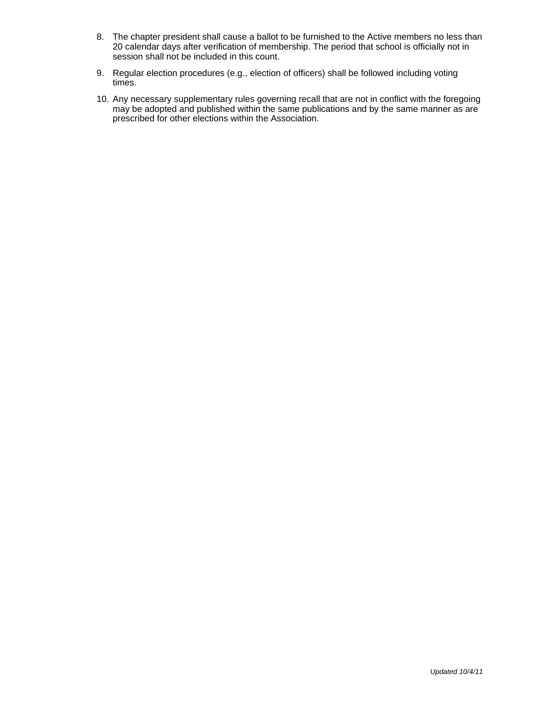- 8. The chapter president shall cause a ballot to be furnished to the Active members no less than 20 calendar days after verification of membership. The period that school is officially not in session shall not be included in this count.
- 9. Regular election procedures (e.g., election of officers) shall be followed including voting times.
- 10. Any necessary supplementary rules governing recall that are not in conflict with the foregoing may be adopted and published within the same publications and by the same manner as are prescribed for other elections within the Association.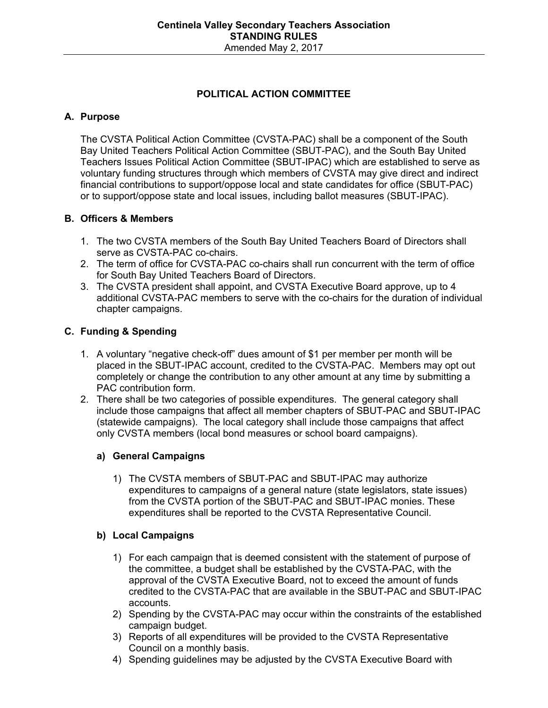# **POLITICAL ACTION COMMITTEE**

## **A. Purpose**

 The CVSTA Political Action Committee (CVSTA-PAC) shall be a component of the South Bay United Teachers Political Action Committee (SBUT-PAC), and the South Bay United Teachers Issues Political Action Committee (SBUT-IPAC) which are established to serve as voluntary funding structures through which members of CVSTA may give direct and indirect financial contributions to support/oppose local and state candidates for office (SBUT-PAC) or to support/oppose state and local issues, including ballot measures (SBUT-IPAC).

## **B. Officers & Members**

- 1. The two CVSTA members of the South Bay United Teachers Board of Directors shall serve as CVSTA-PAC co-chairs.
- 2. The term of office for CVSTA-PAC co-chairs shall run concurrent with the term of office for South Bay United Teachers Board of Directors.
- 3. The CVSTA president shall appoint, and CVSTA Executive Board approve, up to 4 additional CVSTA-PAC members to serve with the co-chairs for the duration of individual chapter campaigns.

## **C. Funding & Spending**

- 1. A voluntary "negative check-off" dues amount of \$1 per member per month will be placed in the SBUT-IPAC account, credited to the CVSTA-PAC. Members may opt out completely or change the contribution to any other amount at any time by submitting a PAC contribution form.
- 2. There shall be two categories of possible expenditures. The general category shall include those campaigns that affect all member chapters of SBUT-PAC and SBUT-IPAC (statewide campaigns). The local category shall include those campaigns that affect only CVSTA members (local bond measures or school board campaigns).

## **a) General Campaigns**

1) The CVSTA members of SBUT-PAC and SBUT-IPAC may authorize expenditures to campaigns of a general nature (state legislators, state issues) from the CVSTA portion of the SBUT-PAC and SBUT-IPAC monies. These expenditures shall be reported to the CVSTA Representative Council.

## **b) Local Campaigns**

- 1) For each campaign that is deemed consistent with the statement of purpose of the committee, a budget shall be established by the CVSTA-PAC, with the approval of the CVSTA Executive Board, not to exceed the amount of funds credited to the CVSTA-PAC that are available in the SBUT-PAC and SBUT-IPAC accounts.
- 2) Spending by the CVSTA-PAC may occur within the constraints of the established campaign budget.
- 3) Reports of all expenditures will be provided to the CVSTA Representative Council on a monthly basis.
- 4) Spending guidelines may be adjusted by the CVSTA Executive Board with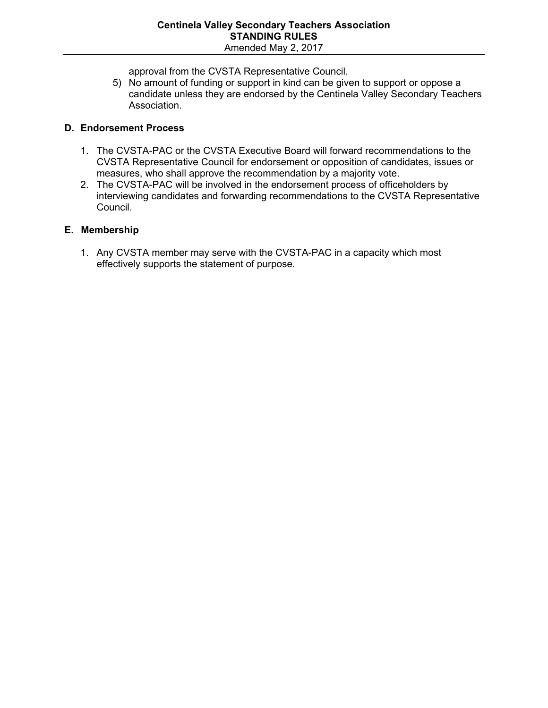approval from the CVSTA Representative Council.

5) No amount of funding or support in kind can be given to support or oppose a candidate unless they are endorsed by the Centinela Valley Secondary Teachers Association.

## **D. Endorsement Process**

- 1. The CVSTA-PAC or the CVSTA Executive Board will forward recommendations to the CVSTA Representative Council for endorsement or opposition of candidates, issues or measures, who shall approve the recommendation by a majority vote.
- 2. The CVSTA-PAC will be involved in the endorsement process of officeholders by interviewing candidates and forwarding recommendations to the CVSTA Representative Council.

## **E. Membership**

1. Any CVSTA member may serve with the CVSTA-PAC in a capacity which most effectively supports the statement of purpose.